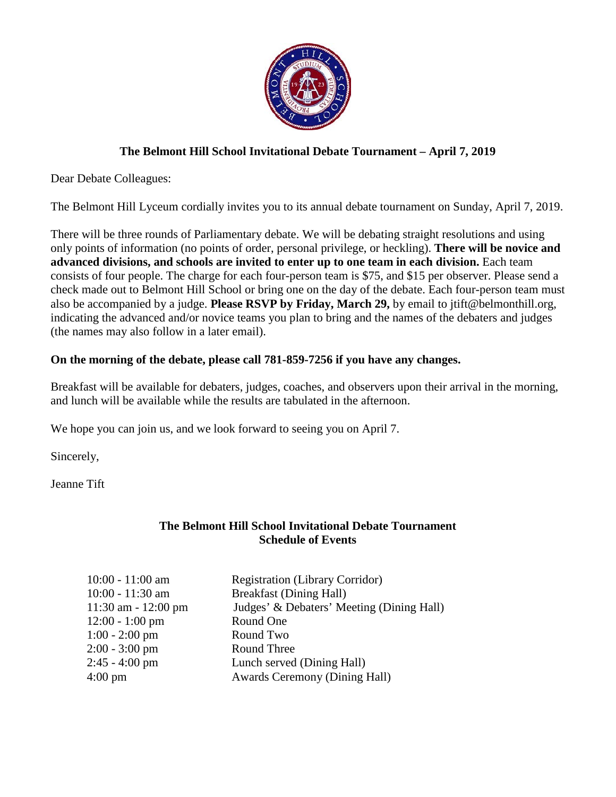

## **The Belmont Hill School Invitational Debate Tournament – April 7, 2019**

Dear Debate Colleagues:

The Belmont Hill Lyceum cordially invites you to its annual debate tournament on Sunday, April 7, 2019.

There will be three rounds of Parliamentary debate. We will be debating straight resolutions and using only points of information (no points of order, personal privilege, or heckling). **There will be novice and advanced divisions, and schools are invited to enter up to one team in each division.** Each team consists of four people. The charge for each four-person team is \$75, and \$15 per observer. Please send a check made out to Belmont Hill School or bring one on the day of the debate. Each four-person team must also be accompanied by a judge. **Please RSVP by Friday, March 29,** by email to jtift@belmonthill.org, indicating the advanced and/or novice teams you plan to bring and the names of the debaters and judges (the names may also follow in a later email).

## **On the morning of the debate, please call 781-859-7256 if you have any changes.**

Breakfast will be available for debaters, judges, coaches, and observers upon their arrival in the morning, and lunch will be available while the results are tabulated in the afternoon.

We hope you can join us, and we look forward to seeing you on April 7.

Sincerely,

Jeanne Tift

## **The Belmont Hill School Invitational Debate Tournament Schedule of Events**

| $10:00 - 11:00$ am      | <b>Registration (Library Corridor)</b>    |
|-------------------------|-------------------------------------------|
| 10:00 - 11:30 am        | <b>Breakfast (Dining Hall)</b>            |
| $11:30$ am - $12:00$ pm | Judges' & Debaters' Meeting (Dining Hall) |
| $12:00 - 1:00$ pm       | Round One                                 |
| $1:00 - 2:00$ pm        | Round Two                                 |
| $2:00 - 3:00$ pm        | Round Three                               |
| $2:45 - 4:00$ pm        | Lunch served (Dining Hall)                |
| $4:00 \text{ pm}$       | <b>Awards Ceremony (Dining Hall)</b>      |
|                         |                                           |